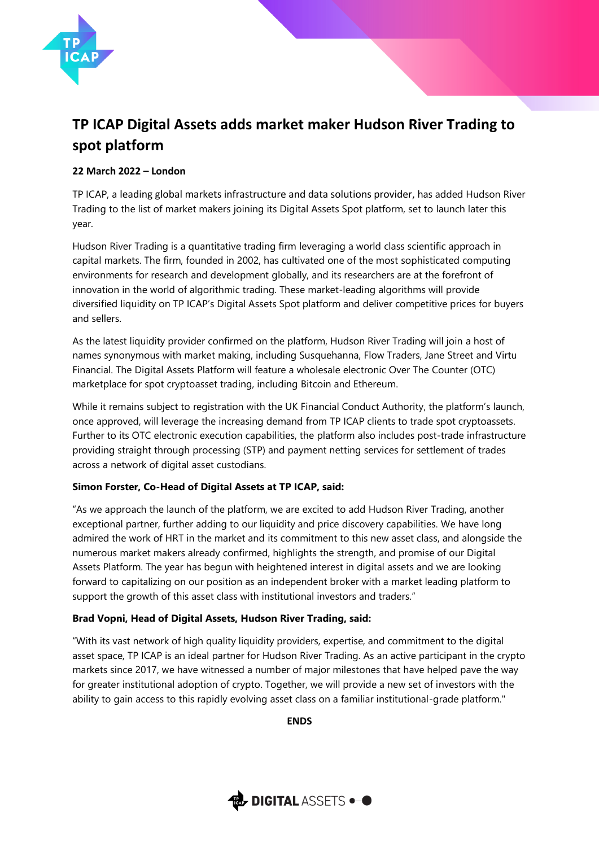

# **TP ICAP Digital Assets adds market maker Hudson River Trading to spot platform**

## **22 March 2022 – London**

TP ICAP, a leading global markets infrastructure and data solutions provider, has added Hudson River Trading to the list of market makers joining its Digital Assets Spot platform, set to launch later this year.

Hudson River Trading is a quantitative trading firm leveraging a world class scientific approach in capital markets. The firm, founded in 2002, has cultivated one of the most sophisticated computing environments for research and development globally, and its researchers are at the forefront of innovation in the world of algorithmic trading. These market-leading algorithms will provide diversified liquidity on TP ICAP's Digital Assets Spot platform and deliver competitive prices for buyers and sellers.

As the latest liquidity provider confirmed on the platform, Hudson River Trading will join a host of names synonymous with market making, including Susquehanna, Flow Traders, Jane Street and Virtu Financial. The Digital Assets Platform will feature a wholesale electronic Over The Counter (OTC) marketplace for spot cryptoasset trading, including Bitcoin and Ethereum.

While it remains subject to registration with the UK Financial Conduct Authority, the platform's launch, once approved, will leverage the increasing demand from TP ICAP clients to trade spot cryptoassets. Further to its OTC electronic execution capabilities, the platform also includes post-trade infrastructure providing straight through processing (STP) and payment netting services for settlement of trades across a network of digital asset custodians.

## **Simon Forster, Co-Head of Digital Assets at TP ICAP, said:**

"As we approach the launch of the platform, we are excited to add Hudson River Trading, another exceptional partner, further adding to our liquidity and price discovery capabilities. We have long admired the work of HRT in the market and its commitment to this new asset class, and alongside the numerous market makers already confirmed, highlights the strength, and promise of our Digital Assets Platform. The year has begun with heightened interest in digital assets and we are looking forward to capitalizing on our position as an independent broker with a market leading platform to support the growth of this asset class with institutional investors and traders."

## **Brad Vopni, Head of Digital Assets, Hudson River Trading, said:**

"With its vast network of high quality liquidity providers, expertise, and commitment to the digital asset space, TP ICAP is an ideal partner for Hudson River Trading. As an active participant in the crypto markets since 2017, we have witnessed a number of major milestones that have helped pave the way for greater institutional adoption of crypto. Together, we will provide a new set of investors with the ability to gain access to this rapidly evolving asset class on a familiar institutional-grade platform."

**ENDS** 

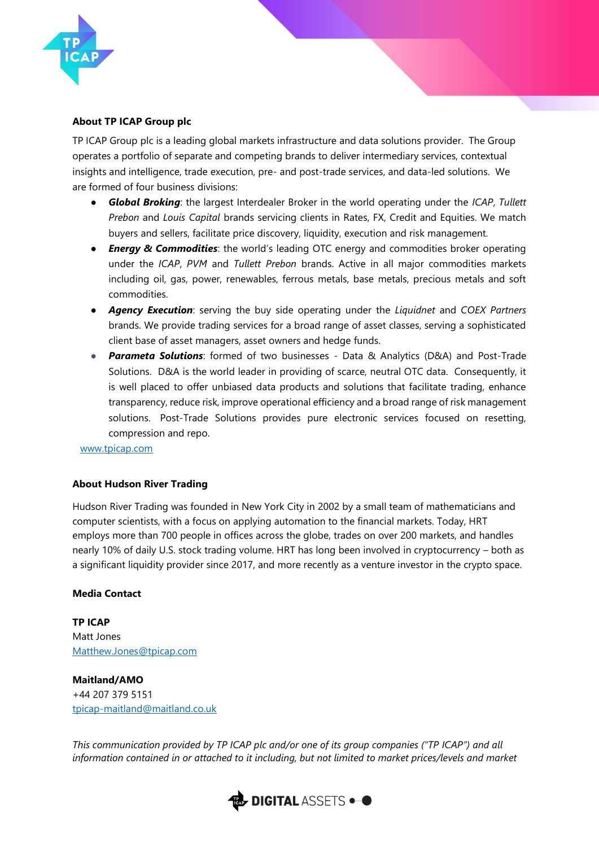

### **About TP ICAP Group plc**

TP ICAP Group plc is a leading global markets infrastructure and data solutions provider. The Group operates a portfolio of separate and competing brands to deliver intermediary services, contextual insights and intelligence, trade execution, pre- and post-trade services, and data-led solutions. We are formed of four business divisions:

- *Global Broking*: the largest Interdealer Broker in the world operating under the *ICAP*, *Tullett Prebon* and *Louis Capital* brands servicing clients in Rates, FX, Credit and Equities. We match buyers and sellers, facilitate price discovery, liquidity, execution and risk management*.*
- *Energy & Commodities*: the world's leading OTC energy and commodities broker operating under the *ICAP*, *PVM* and *Tullett Prebon* brands. Active in all major commodities markets including oil, gas, power, renewables, ferrous metals, base metals, precious metals and soft commodities.
- *Agency Execution*: serving the buy side operating under the *Liquidnet* and *COEX Partners* brands. We provide trading services for a broad range of asset classes, serving a sophisticated client base of asset managers, asset owners and hedge funds.
- *Parameta Solutions*: formed of two businesses Data & Analytics (D&A) and Post-Trade Solutions. D&A is the world leader in providing of scarce, neutral OTC data. Consequently, it is well placed to offer unbiased data products and solutions that facilitate trading, enhance transparency, reduce risk, improve operational efficiency and a broad range of risk management solutions. Post-Trade Solutions provides pure electronic services focused on resetting, compression and repo.

[www.tpicap.com](http://www.tpicap.com/)

#### **About Hudson River Trading**

Hudson River Trading was founded in New York City in 2002 by a small team of mathematicians and computer scientists, with a focus on applying automation to the financial markets. Today, HRT employs more than 700 people in offices across the globe, trades on over 200 markets, and handles nearly 10% of daily U.S. stock trading volume. HRT has long been involved in cryptocurrency – both as a significant liquidity provider since 2017, and more recently as a venture investor in the crypto space.

#### **Media Contact**

**TP ICAP**  Matt Jones Matthew.Jones@tpicap.com

**Maitland/AMO** +44 207 379 5151 [tpicap-maitland@maitland.co.uk](mailto:tpicap-maitland@maitland.co.uk)

*This communication provided by TP ICAP plc and/or one of its group companies ("TP ICAP") and all information contained in or attached to it including, but not limited to market prices/levels and market*